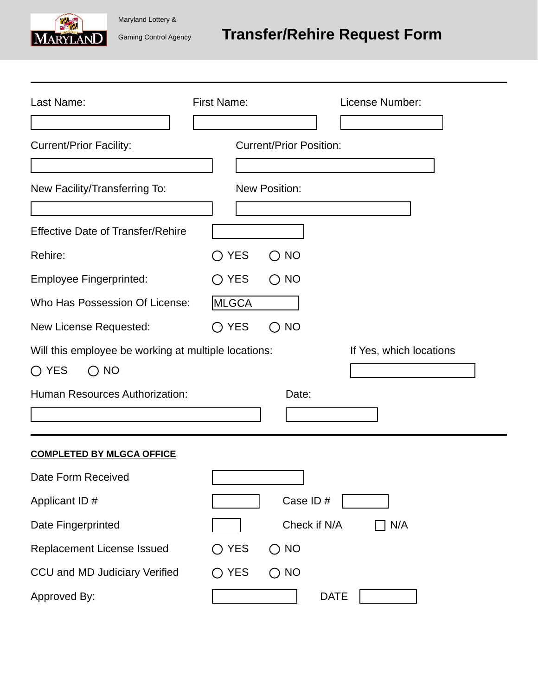# Gaming Control Agency **Transfer/Rehire Request Form**

| IVIARYLANI |  |
|------------|--|

Maryland Lottery &

| Last Name:                                           | <b>First Name:</b>                                                       | License Number:         |
|------------------------------------------------------|--------------------------------------------------------------------------|-------------------------|
|                                                      |                                                                          |                         |
| <b>Current/Prior Facility:</b>                       | <b>Current/Prior Position:</b>                                           |                         |
|                                                      |                                                                          |                         |
| New Facility/Transferring To:                        | New Position:                                                            |                         |
|                                                      |                                                                          |                         |
| <b>Effective Date of Transfer/Rehire</b>             |                                                                          |                         |
| Rehire:                                              | <b>YES</b><br>$\bigcirc$ NO<br>$\Box$                                    |                         |
| <b>Employee Fingerprinted:</b>                       | <b>YES</b><br>$\bigcirc$ NO<br>$(\ )$                                    |                         |
| Who Has Possession Of License:                       | MLGCA                                                                    |                         |
| New License Requested:                               | <b>YES</b><br><b>NO</b><br>$\left(\right)$                               |                         |
| Will this employee be working at multiple locations: |                                                                          | If Yes, which locations |
| $\bigcirc$ YES<br>$\bigcirc$ NO                      |                                                                          |                         |
| Human Resources Authorization:                       | Date:                                                                    |                         |
|                                                      |                                                                          |                         |
| <b>COMPLETED BY MLGCA OFFICE</b>                     |                                                                          |                         |
| Date Form Received                                   |                                                                          |                         |
| Applicant ID #                                       | Case ID#                                                                 |                         |
| Date Fingerprinted                                   | Check if N/A                                                             | N/A                     |
| Replacement License Issued                           | YES<br><b>NO</b><br>( )                                                  |                         |
| CCU and MD Judiciary Verified                        | <b>YES</b><br><b>NO</b><br>$\left( \begin{array}{c} \end{array} \right)$ |                         |
| Approved By:                                         |                                                                          | <b>DATE</b>             |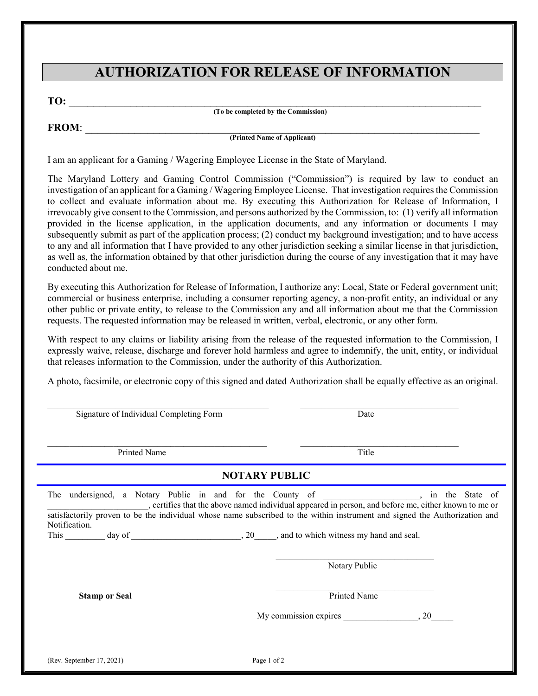### **AUTHORIZATION FOR RELEASE OF INFORMATION**

**TO:** \_\_\_\_\_\_\_\_\_\_\_\_\_\_\_\_\_\_\_\_\_\_\_\_\_\_\_\_\_\_\_\_\_\_\_\_\_\_\_\_\_\_\_\_\_\_\_\_\_\_\_\_\_\_\_\_\_\_\_\_\_\_\_\_\_\_\_ **(To be completed by the Commission)**

**FROM**: \_\_\_\_\_\_\_\_\_\_\_\_\_\_\_\_\_\_\_\_\_\_\_\_\_\_\_\_\_\_\_\_\_\_\_\_\_\_\_\_\_\_\_\_\_\_\_\_\_\_\_\_\_\_\_\_\_\_\_\_\_\_\_\_

**(Printed Name of Applicant)**

I am an applicant for a Gaming / Wagering Employee License in the State of Maryland.

The Maryland Lottery and Gaming Control Commission ("Commission") is required by law to conduct an investigation of an applicant for a Gaming / Wagering Employee License. That investigation requires the Commission to collect and evaluate information about me. By executing this Authorization for Release of Information, I irrevocably give consent to the Commission, and persons authorized by the Commission, to: (1) verify all information provided in the license application, in the application documents, and any information or documents I may subsequently submit as part of the application process; (2) conduct my background investigation; and to have access to any and all information that I have provided to any other jurisdiction seeking a similar license in that jurisdiction, as well as, the information obtained by that other jurisdiction during the course of any investigation that it may have conducted about me.

By executing this Authorization for Release of Information, I authorize any: Local, State or Federal government unit; commercial or business enterprise, including a consumer reporting agency, a non-profit entity, an individual or any other public or private entity, to release to the Commission any and all information about me that the Commission requests. The requested information may be released in written, verbal, electronic, or any other form.

With respect to any claims or liability arising from the release of the requested information to the Commission, I expressly waive, release, discharge and forever hold harmless and agree to indemnify, the unit, entity, or individual that releases information to the Commission, under the authority of this Authorization.

A photo, facsimile, or electronic copy of this signed and dated Authorization shall be equally effective as an original.

 $\mathcal{L}_\text{max}$  , and the contribution of the contribution of the contribution of the contribution of the contribution of the contribution of the contribution of the contribution of the contribution of the contribution of t

| Signature of Individual Completing Form | Date                                                                                                                                                                                                                                                                                                                                                                    |                 |  |
|-----------------------------------------|-------------------------------------------------------------------------------------------------------------------------------------------------------------------------------------------------------------------------------------------------------------------------------------------------------------------------------------------------------------------------|-----------------|--|
| <b>Printed Name</b>                     | Title                                                                                                                                                                                                                                                                                                                                                                   |                 |  |
| <b>NOTARY PUBLIC</b>                    |                                                                                                                                                                                                                                                                                                                                                                         |                 |  |
| Notification.<br><b>Stamp or Seal</b>   | The undersigned, a Notary Public in and for the County of<br>, certifies that the above named individual appeared in person, and before me, either known to me or<br>satisfactorily proven to be the individual whose name subscribed to the within instrument and signed the Authorization and<br>Notary Public<br><b>Printed Name</b><br>My commission expires 30, 20 | in the State of |  |
| (Rev. September 17, 2021)               | Page 1 of 2                                                                                                                                                                                                                                                                                                                                                             |                 |  |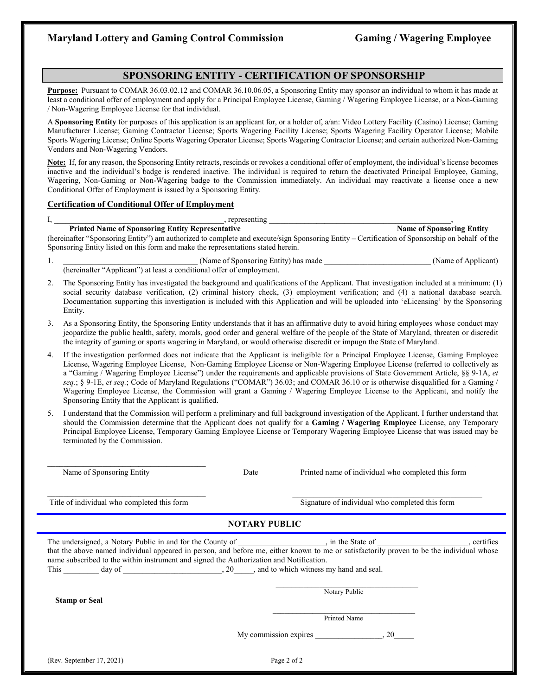#### **SPONSORING ENTITY - CERTIFICATION OF SPONSORSHIP**

**Purpose:** Pursuant to COMAR 36.03.02.12 and COMAR 36.10.06.05, a Sponsoring Entity may sponsor an individual to whom it has made at least a conditional offer of employment and apply for a Principal Employee License, Gaming / Wagering Employee License, or a Non-Gaming / Non-Wagering Employee License for that individual.

A **Sponsoring Entity** for purposes of this application is an applicant for, or a holder of, a/an: Video Lottery Facility (Casino) License; Gaming Manufacturer License; Gaming Contractor License; Sports Wagering Facility License; Sports Wagering Facility Operator License; Mobile Sports Wagering License; Online Sports Wagering Operator License; Sports Wagering Contractor License; and certain authorized Non-Gaming Vendors and Non-Wagering Vendors.

**Note:** If, for any reason, the Sponsoring Entity retracts, rescinds or revokes a conditional offer of employment, the individual's license becomes inactive and the individual's badge is rendered inactive. The individual is required to return the deactivated Principal Employee, Gaming, Wagering, Non-Gaming or Non-Wagering badge to the Commission immediately. An individual may reactivate a license once a new Conditional Offer of Employment is issued by a Sponsoring Entity.

#### **Certification of Conditional Offer of Employment**

| ۰, |  |
|----|--|

 $I,$  representing  $\Box$ 

**Printed Name of Sponsoring Entity Representative**  Name of Sponsoring Entity **Name of Sponsoring Entity** 

(hereinafter "Sponsoring Entity") am authorized to complete and execute/sign Sponsoring Entity – Certification of Sponsorship on behalf of the Sponsoring Entity listed on this form and make the representations stated herein.

- 1. Chame of Sponsoring Entity) has made (Name of Applicant) (hereinafter "Applicant") at least a conditional offer of employment.
- 2. The Sponsoring Entity has investigated the background and qualifications of the Applicant. That investigation included at a minimum: (1) social security database verification, (2) criminal history check, (3) employment verification; and (4) a national database search. Documentation supporting this investigation is included with this Application and will be uploaded into 'eLicensing' by the Sponsoring Entity.
- 3. As a Sponsoring Entity, the Sponsoring Entity understands that it has an affirmative duty to avoid hiring employees whose conduct may jeopardize the public health, safety, morals, good order and general welfare of the people of the State of Maryland, threaten or discredit the integrity of gaming or sports wagering in Maryland, or would otherwise discredit or impugn the State of Maryland.
- 4. If the investigation performed does not indicate that the Applicant is ineligible for a Principal Employee License, Gaming Employee License, Wagering Employee License, Non-Gaming Employee License or Non-Wagering Employee License (referred to collectively as a "Gaming / Wagering Employee License") under the requirements and applicable provisions of State Government Article, §§ 9-1A, *et seq*.; § 9-1E, *et seq.*; Code of Maryland Regulations ("COMAR") 36.03; and COMAR 36.10 or is otherwise disqualified for a Gaming / Wagering Employee License, the Commission will grant a Gaming / Wagering Employee License to the Applicant, and notify the Sponsoring Entity that the Applicant is qualified.
- 5. I understand that the Commission will perform a preliminary and full background investigation of the Applicant. I further understand that should the Commission determine that the Applicant does not qualify for a **Gaming / Wagering Employee** License, any Temporary Principal Employee License, Temporary Gaming Employee License or Temporary Wagering Employee License that was issued may be terminated by the Commission.

| Name of Sponsoring Entity                                                                                                                                                                                                                                                                                                                                                                                                                                              | Date | Printed name of individual who completed this form |             |
|------------------------------------------------------------------------------------------------------------------------------------------------------------------------------------------------------------------------------------------------------------------------------------------------------------------------------------------------------------------------------------------------------------------------------------------------------------------------|------|----------------------------------------------------|-------------|
| Title of individual who completed this form                                                                                                                                                                                                                                                                                                                                                                                                                            |      | Signature of individual who completed this form    |             |
| <b>NOTARY PUBLIC</b>                                                                                                                                                                                                                                                                                                                                                                                                                                                   |      |                                                    |             |
| that the above named individual appeared in person, and before me, either known to me or satisfactorily proven to be the individual whose<br>name subscribed to the within instrument and signed the Authorization and Notification.<br>This day of the case of the case of the case of the case of the case of the case of the case of the case of the case of the case of the case of the case of the case of the case of the case of the case of the case of the ca |      |                                                    | , certifies |
| <b>Stamp or Seal</b>                                                                                                                                                                                                                                                                                                                                                                                                                                                   |      | Notary Public                                      |             |
|                                                                                                                                                                                                                                                                                                                                                                                                                                                                        |      | Printed Name                                       |             |
|                                                                                                                                                                                                                                                                                                                                                                                                                                                                        |      |                                                    |             |
| (Rev. September 17, 2021)                                                                                                                                                                                                                                                                                                                                                                                                                                              |      | Page 2 of 2                                        |             |